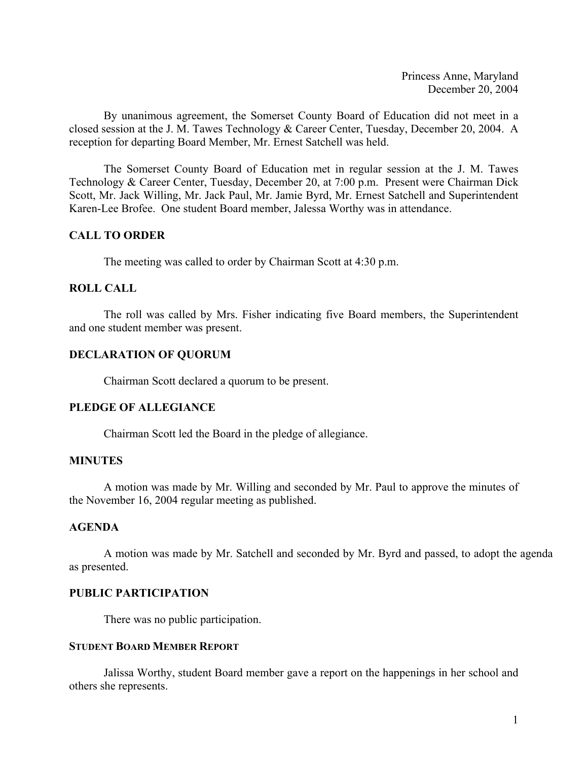Princess Anne, Maryland December 20, 2004

By unanimous agreement, the Somerset County Board of Education did not meet in a closed session at the J. M. Tawes Technology & Career Center, Tuesday, December 20, 2004. A reception for departing Board Member, Mr. Ernest Satchell was held.

 The Somerset County Board of Education met in regular session at the J. M. Tawes Technology & Career Center, Tuesday, December 20, at 7:00 p.m. Present were Chairman Dick Scott, Mr. Jack Willing, Mr. Jack Paul, Mr. Jamie Byrd, Mr. Ernest Satchell and Superintendent Karen-Lee Brofee. One student Board member, Jalessa Worthy was in attendance.

## **CALL TO ORDER**

The meeting was called to order by Chairman Scott at 4:30 p.m.

## **ROLL CALL**

 The roll was called by Mrs. Fisher indicating five Board members, the Superintendent and one student member was present.

## **DECLARATION OF QUORUM**

Chairman Scott declared a quorum to be present.

## **PLEDGE OF ALLEGIANCE**

Chairman Scott led the Board in the pledge of allegiance.

## **MINUTES**

A motion was made by Mr. Willing and seconded by Mr. Paul to approve the minutes of the November 16, 2004 regular meeting as published.

## **AGENDA**

A motion was made by Mr. Satchell and seconded by Mr. Byrd and passed, to adopt the agenda as presented.

## **PUBLIC PARTICIPATION**

There was no public participation.

## **STUDENT BOARD MEMBER REPORT**

 Jalissa Worthy, student Board member gave a report on the happenings in her school and others she represents.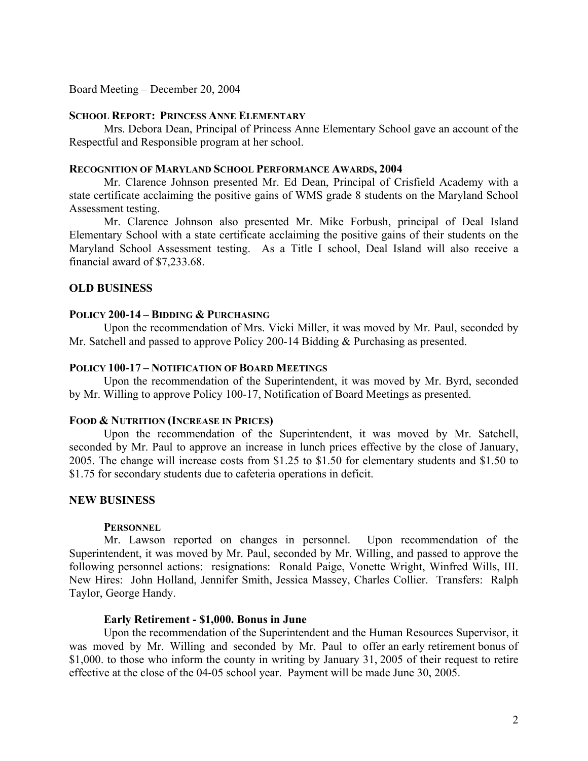Board Meeting – December 20, 2004

# **SCHOOL REPORT: PRINCESS ANNE ELEMENTARY**

Mrs. Debora Dean, Principal of Princess Anne Elementary School gave an account of the Respectful and Responsible program at her school.

## **RECOGNITION OF MARYLAND SCHOOL PERFORMANCE AWARDS, 2004**

 Mr. Clarence Johnson presented Mr. Ed Dean, Principal of Crisfield Academy with a state certificate acclaiming the positive gains of WMS grade 8 students on the Maryland School Assessment testing.

 Mr. Clarence Johnson also presented Mr. Mike Forbush, principal of Deal Island Elementary School with a state certificate acclaiming the positive gains of their students on the Maryland School Assessment testing. As a Title I school, Deal Island will also receive a financial award of \$7,233.68.

## **OLD BUSINESS**

# **POLICY 200-14 – BIDDING & PURCHASING**

Upon the recommendation of Mrs. Vicki Miller, it was moved by Mr. Paul, seconded by Mr. Satchell and passed to approve Policy 200-14 Bidding & Purchasing as presented.

### **POLICY 100-17 – NOTIFICATION OF BOARD MEETINGS**

 Upon the recommendation of the Superintendent, it was moved by Mr. Byrd, seconded by Mr. Willing to approve Policy 100-17, Notification of Board Meetings as presented.

#### **FOOD & NUTRITION (INCREASE IN PRICES)**

 Upon the recommendation of the Superintendent, it was moved by Mr. Satchell, seconded by Mr. Paul to approve an increase in lunch prices effective by the close of January, 2005. The change will increase costs from \$1.25 to \$1.50 for elementary students and \$1.50 to \$1.75 for secondary students due to cafeteria operations in deficit.

#### **NEW BUSINESS**

#### **PERSONNEL**

 Mr. Lawson reported on changes in personnel. Upon recommendation of the Superintendent, it was moved by Mr. Paul, seconded by Mr. Willing, and passed to approve the following personnel actions: resignations: Ronald Paige, Vonette Wright, Winfred Wills, III. New Hires: John Holland, Jennifer Smith, Jessica Massey, Charles Collier. Transfers: Ralph Taylor, George Handy.

#### **Early Retirement - \$1,000. Bonus in June**

 Upon the recommendation of the Superintendent and the Human Resources Supervisor, it was moved by Mr. Willing and seconded by Mr. Paul to offer an early retirement bonus of \$1,000. to those who inform the county in writing by January 31, 2005 of their request to retire effective at the close of the 04-05 school year. Payment will be made June 30, 2005.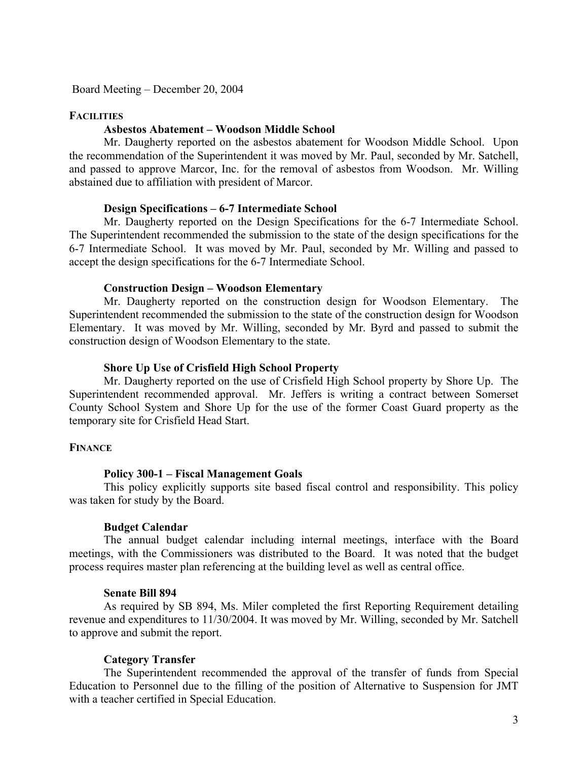Board Meeting – December 20, 2004

## **FACILITIES**

## **Asbestos Abatement – Woodson Middle School**

 Mr. Daugherty reported on the asbestos abatement for Woodson Middle School. Upon the recommendation of the Superintendent it was moved by Mr. Paul, seconded by Mr. Satchell, and passed to approve Marcor, Inc. for the removal of asbestos from Woodson. Mr. Willing abstained due to affiliation with president of Marcor.

### **Design Specifications – 6-7 Intermediate School**

 Mr. Daugherty reported on the Design Specifications for the 6-7 Intermediate School. The Superintendent recommended the submission to the state of the design specifications for the 6-7 Intermediate School. It was moved by Mr. Paul, seconded by Mr. Willing and passed to accept the design specifications for the 6-7 Intermediate School.

### **Construction Design – Woodson Elementary**

 Mr. Daugherty reported on the construction design for Woodson Elementary. The Superintendent recommended the submission to the state of the construction design for Woodson Elementary. It was moved by Mr. Willing, seconded by Mr. Byrd and passed to submit the construction design of Woodson Elementary to the state.

### **Shore Up Use of Crisfield High School Property**

 Mr. Daugherty reported on the use of Crisfield High School property by Shore Up. The Superintendent recommended approval. Mr. Jeffers is writing a contract between Somerset County School System and Shore Up for the use of the former Coast Guard property as the temporary site for Crisfield Head Start.

## **FINANCE**

#### **Policy 300-1 – Fiscal Management Goals**

 This policy explicitly supports site based fiscal control and responsibility. This policy was taken for study by the Board.

#### **Budget Calendar**

 The annual budget calendar including internal meetings, interface with the Board meetings, with the Commissioners was distributed to the Board. It was noted that the budget process requires master plan referencing at the building level as well as central office.

### **Senate Bill 894**

 As required by SB 894, Ms. Miler completed the first Reporting Requirement detailing revenue and expenditures to 11/30/2004. It was moved by Mr. Willing, seconded by Mr. Satchell to approve and submit the report.

#### **Category Transfer**

 The Superintendent recommended the approval of the transfer of funds from Special Education to Personnel due to the filling of the position of Alternative to Suspension for JMT with a teacher certified in Special Education.